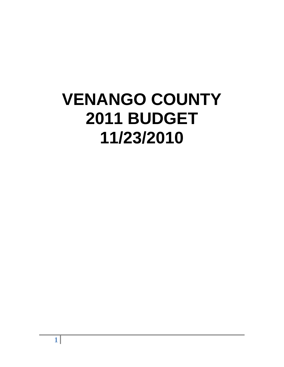# **VENANGO COUNTY 2011 BUDGET 11/23/2010**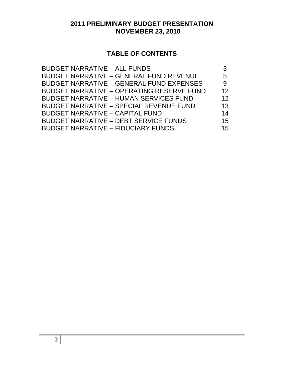# **2011 PRELIMINARY BUDGET PRESENTATION NOVEMBER 23, 2010**

# **TABLE OF CONTENTS**

| <b>BUDGET NARRATIVE - ALL FUNDS</b>              |    |
|--------------------------------------------------|----|
| <b>BUDGET NARRATIVE - GENERAL FUND REVENUE</b>   | 5  |
| <b>BUDGET NARRATIVE - GENERAL FUND EXPENSES</b>  | 9  |
| <b>BUDGET NARRATIVE - OPERATING RESERVE FUND</b> | 12 |
| <b>BUDGET NARRATIVE - HUMAN SERVICES FUND</b>    | 12 |
| <b>BUDGET NARRATIVE - SPECIAL REVENUE FUND</b>   | 13 |
| <b>BUDGET NARRATIVE - CAPITAL FUND</b>           | 14 |
| <b>BUDGET NARRATIVE - DEBT SERVICE FUNDS</b>     | 15 |
| <b>BUDGET NARRATIVE - FIDUCIARY FUNDS</b>        | 15 |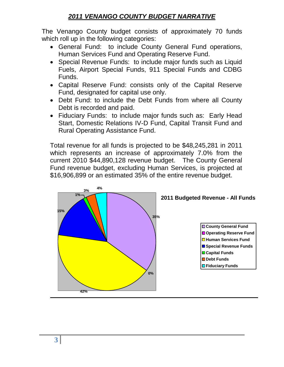# *2011 VENANGO COUNTY BUDGET NARRATIVE*

The Venango County budget consists of approximately 70 funds which roll up in the following categories:

- General Fund: to include County General Fund operations, Human Services Fund and Operating Reserve Fund.
- Special Revenue Funds: to include major funds such as Liquid Fuels, Airport Special Funds, 911 Special Funds and CDBG Funds.
- Capital Reserve Fund: consists only of the Capital Reserve Fund, designated for capital use only.
- Debt Fund: to include the Debt Funds from where all County Debt is recorded and paid.
- Fiduciary Funds: to include major funds such as: Early Head Start, Domestic Relations IV-D Fund, Capital Transit Fund and Rural Operating Assistance Fund.

Total revenue for all funds is projected to be \$48,245,281 in 2011 which represents an increase of approximately 7.0% from the current 2010 \$44,890,128 revenue budget. The County General Fund revenue budget, excluding Human Services, is projected at \$16,906,899 or an estimated 35% of the entire revenue budget.

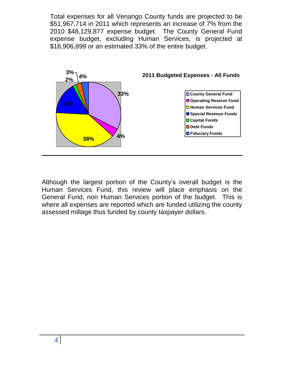Total expenses for all Venango County funds are projected to be \$51,967,714 in 2011 which represents an increase of 7% from the 2010 \$48,129,877 expense budget. The County General Fund expense budget, excluding Human Services, is projected at \$16,906,899 or an estimated 33% of the entire budget.



Although the largest portion of the County's overall budget is the Human Services Fund, this review will place emphasis on the General Fund, non Human Services portion of the budget. This is where all expenses are reported which are funded utilizing the county assessed millage thus funded by county taxpayer dollars.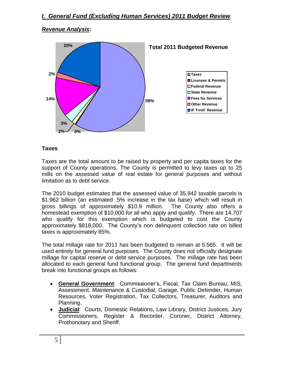#### *Revenue Analysis:*



#### **Taxes**

Taxes are the total amount to be raised by property and per capita taxes for the support of County operations. The County is permitted to levy taxes up to 25 mills on the assessed value of real estate for general purposes and without limitation as to debt service.

The 2010 budget estimates that the assessed value of 35,942 taxable parcels is \$1.962 billion (an estimated .5% increase in the tax base) which will result in gross billings of approximately \$10.9 million. The County also offers a homestead exemption of \$10,000 for all who apply and qualify. There are 14,707 who qualify for this exemption which is budgeted to cost the County approximately \$818,000. The County's non delinquent collection rate on billed taxes is approximately 85%.

The total millage rate for 2011 has been budgeted to remain at 5.565. It will be used entirely for general fund purposes. The County does not officially designate millage for capital reserve or debt service purposes. The millage rate has been allocated to each general fund functional group. The general fund departments break into functional groups as follows:

- **General Government**: Commissioner's, Fiscal, Tax Claim Bureau, MIS, Assessment, Maintenance & Custodial, Garage, Public Defender, Human Resources, Voter Registration, Tax Collectors, Treasurer, Auditors and Planning.
- **Judicial**: Courts, Domestic Relations, Law Library, District Justices, Jury Commissioners, Register & Recorder, Coroner, District Attorney, Prothonotary and Sheriff.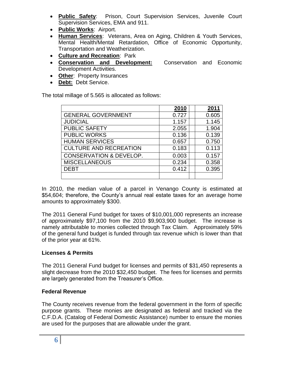- **Public Safety**: Prison, Court Supervision Services, Juvenile Court Supervision Services, EMA and 911.
- **Public Works**: Airport.
- **Human Services**: Veterans, Area on Aging, Children & Youth Services, Mental Health/Mental Retardation, Office of Economic Opportunity, Transportation and Weatherization.
- **Culture and Recreation**: Park
- **Conservation and Development:** Conservation and Economic Development Activities.
- **Other**: Property Insurances
- **Debt:** Debt Service.

The total millage of 5.565 is allocated as follows:

|                                    | 2010  | 2011  |
|------------------------------------|-------|-------|
| <b>GENERAL GOVERNMENT</b>          | 0.727 | 0.605 |
| <b>JUDICIAL</b>                    | 1.157 | 1.145 |
| <b>PUBLIC SAFETY</b>               | 2.055 | 1.904 |
| <b>PUBLIC WORKS</b>                | 0.136 | 0.139 |
| <b>HUMAN SERVICES</b>              | 0.657 | 0.750 |
| <b>CULTURE AND RECREATION</b>      | 0.183 | 0.113 |
| <b>CONSERVATION &amp; DEVELOP.</b> | 0.003 | 0.157 |
| <b>MISCELLANEOUS</b>               | 0.234 | 0.358 |
| <b>DEBT</b>                        | 0.412 | 0.395 |
|                                    |       |       |

In 2010, the median value of a parcel in Venango County is estimated at \$54,604; therefore, the County's annual real estate taxes for an average home amounts to approximately \$300.

The 2011 General Fund budget for taxes of \$10,001,000 represents an increase of approximately \$97,100 from the 2010 \$9,903,900 budget. The increase is namely attributable to monies collected through Tax Claim. Approximately 59% of the general fund budget is funded through tax revenue which is lower than that of the prior year at 61%.

#### **Licenses & Permits**

The 2011 General Fund budget for licenses and permits of \$31,450 represents a slight decrease from the 2010 \$32,450 budget. The fees for licenses and permits are largely generated from the Treasurer's Office.

#### **Federal Revenue**

The County receives revenue from the federal government in the form of specific purpose grants. These monies are designated as federal and tracked via the C.F.D.A. (Catalog of Federal Domestic Assistance) number to ensure the monies are used for the purposes that are allowable under the grant.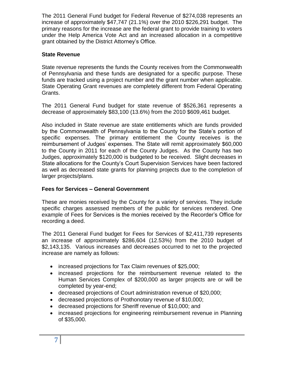The 2011 General Fund budget for Federal Revenue of \$274,038 represents an increase of approximately \$47,747 (21.1%) over the 2010 \$226,291 budget. The primary reasons for the increase are the federal grant to provide training to voters under the Help America Vote Act and an increased allocation in a competitive grant obtained by the District Attorney's Office.

## **State Revenue**

State revenue represents the funds the County receives from the Commonwealth of Pennsylvania and these funds are designated for a specific purpose. These funds are tracked using a project number and the grant number when applicable. State Operating Grant revenues are completely different from Federal Operating Grants.

The 2011 General Fund budget for state revenue of \$526,361 represents a decrease of approximately \$83,100 (13.6%) from the 2010 \$609,461 budget.

Also included in State revenue are state entitlements which are funds provided by the Commonwealth of Pennsylvania to the County for the State's portion of specific expenses. The primary entitlement the County receives is the reimbursement of Judges' expenses. The State will remit approximately \$60,000 to the County in 2011 for each of the County Judges. As the County has two Judges, approximately \$120,000 is budgeted to be received. Slight decreases in State allocations for the County's Court Supervision Services have been factored as well as decreased state grants for planning projects due to the completion of larger projects/plans.

## **Fees for Services – General Government**

These are monies received by the County for a variety of services. They include specific charges assessed members of the public for services rendered. One example of Fees for Services is the monies received by the Recorder's Office for recording a deed.

The 2011 General Fund budget for Fees for Services of \$2,411,739 represents an increase of approximately \$286,604 (12.53%) from the 2010 budget of \$2,143,135. Various increases and decreases occurred to net to the projected increase are namely as follows:

- increased projections for Tax Claim revenues of \$25,000;
- increased projections for the reimbursement revenue related to the Human Services Complex of \$200,000 as larger projects are or will be completed by year-end;
- decreased projections of Court administration revenue of \$20,000;
- decreased projections of Prothonotary revenue of \$10,000;
- decreased projections for Sheriff revenue of \$10,000; and
- increased projections for engineering reimbursement revenue in Planning of \$35,000.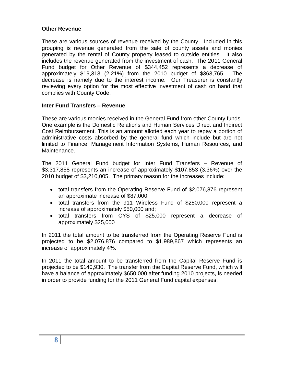#### **Other Revenue**

These are various sources of revenue received by the County. Included in this grouping is revenue generated from the sale of county assets and monies generated by the rental of County property leased to outside entities. It also includes the revenue generated from the investment of cash. The 2011 General Fund budget for Other Revenue of \$344,452 represents a decrease of approximately \$19,313 (2.21%) from the 2010 budget of \$363,765. The decrease is namely due to the interest income. Our Treasurer is constantly reviewing every option for the most effective investment of cash on hand that complies with County Code.

#### **Inter Fund Transfers – Revenue**

These are various monies received in the General Fund from other County funds. One example is the Domestic Relations and Human Services Direct and Indirect Cost Reimbursement. This is an amount allotted each year to repay a portion of administrative costs absorbed by the general fund which include but are not limited to Finance, Management Information Systems, Human Resources, and Maintenance.

The 2011 General Fund budget for Inter Fund Transfers – Revenue of \$3,317,858 represents an increase of approximately \$107,853 (3.36%) over the 2010 budget of \$3,210,005. The primary reason for the increases include:

- total transfers from the Operating Reserve Fund of \$2,076,876 represent an approximate increase of \$87,000;
- total transfers from the 911 Wireless Fund of \$250,000 represent a increase of approximately \$50,000 and;
- total transfers from CYS of \$25,000 represent a decrease of approximately \$25,000

In 2011 the total amount to be transferred from the Operating Reserve Fund is projected to be \$2,076,876 compared to \$1,989,867 which represents an increase of approximately 4%.

In 2011 the total amount to be transferred from the Capital Reserve Fund is projected to be \$140,930. The transfer from the Capital Reserve Fund, which will have a balance of approximately \$650,000 after funding 2010 projects, is needed in order to provide funding for the 2011 General Fund capital expenses.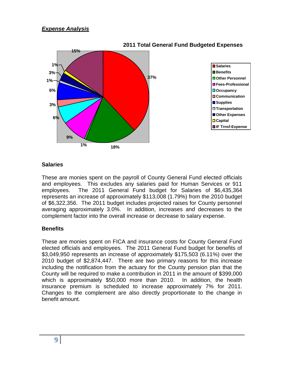#### *Expense Analysis*



#### **Salaries**

These are monies spent on the payroll of County General Fund elected officials and employees. This excludes any salaries paid for Human Services or 911 employees. The 2011 General Fund budget for Salaries of \$6,435,364 represents an increase of approximately \$113,008 (1.79%) from the 2010 budget of \$6,322,356. The 2011 budget includes projected raises for County personnel averaging approximately 3.0%. In addition, increases and decreases to the complement factor into the overall increase or decrease to salary expense.

#### **Benefits**

These are monies spent on FICA and insurance costs for County General Fund elected officials and employees. The 2011 General Fund budget for benefits of \$3,049,950 represents an increase of approximately \$175,503 (6.11%) over the 2010 budget of \$2,874,447. There are two primary reasons for this increase including the notification from the actuary for the County pension plan that the County will be required to make a contribution in 2011 in the amount of \$399,000 which is approximately \$50,000 more than 2010. In addition, the health insurance premium is scheduled to increase approximately 7% for 2011. Changes to the complement are also directly proportionate to the change in benefit amount.

# **9**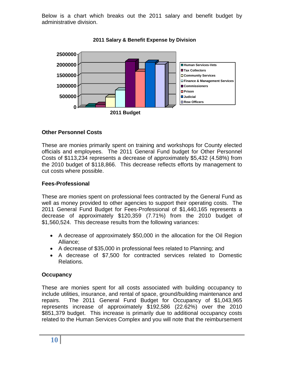Below is a chart which breaks out the 2011 salary and benefit budget by administrative division.



**2011 Salary & Benefit Expense by Division**

#### **Other Personnel Costs**

These are monies primarily spent on training and workshops for County elected officials and employees. The 2011 General Fund budget for Other Personnel Costs of \$113,234 represents a decrease of approximately \$5,432 (4.58%) from the 2010 budget of \$118,866. This decrease reflects efforts by management to cut costs where possible.

#### **Fees-Professional**

These are monies spent on professional fees contracted by the General Fund as well as money provided to other agencies to support their operating costs. The 2011 General Fund Budget for Fees-Professional of \$1,440,165 represents a decrease of approximately \$120,359 (7.71%) from the 2010 budget of \$1,560,524. This decrease results from the following variances:

- A decrease of approximately \$50,000 in the allocation for the Oil Region Alliance;
- A decrease of \$35,000 in professional fees related to Planning; and
- A decrease of \$7,500 for contracted services related to Domestic Relations.

#### **Occupancy**

These are monies spent for all costs associated with building occupancy to include utilities, insurance, and rental of space, ground/building maintenance and repairs. The 2011 General Fund Budget for Occupancy of \$1,043,965 represents increase of approximately \$192,586 (22.62%) over the 2010 \$851,379 budget. This increase is primarily due to additional occupancy costs related to the Human Services Complex and you will note that the reimbursement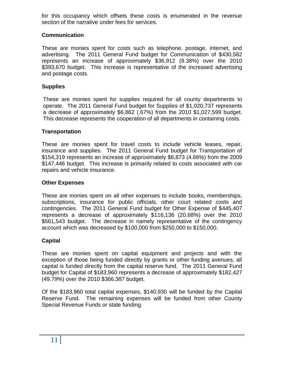for this occupancy which offsets these costs is enumerated in the revenue section of the narrative under fees for services.

### **Communication**

These are monies spent for costs such as telephone, postage, internet, and advertising. The 2011 General Fund budget for Communication of \$430,582 represents an increase of approximately \$36,912 (9.38%) over the 2010 \$393,670 budget. This increase is representative of the increased advertising and postage costs.

#### **Supplies**

These are monies spent for supplies required for all county departments to operate. The 2011 General Fund budget for Supplies of \$1,020,737 represents a decrease of approximately \$6,862 (.67%) from the 2010 \$1,027,599 budget. This decrease represents the cooperation of all departments in containing costs.

#### **Transportation**

These are monies spent for travel costs to include vehicle leases, repair, insurance and supplies. The 2011 General Fund budget for Transportation of \$154,319 represents an increase of approximately \$6,873 (4.66%) from the 2009 \$147,446 budget. This increase is primarily related to costs associated with car repairs and vehicle insurance.

#### **Other Expenses**

These are monies spent on all other expenses to include books, memberships, subscriptions, insurance for public officials, other court related costs and contingencies. The 2011 General Fund budget for Other Expense of \$445,407 represents a decrease of approximately \$116,136 (20.68%) over the 2010 \$561,543 budget. The decrease in namely representative of the contingency account which was decreased by \$100,000 from \$250,000 to \$150,000.

#### **Capital**

These are monies spent on capital equipment and projects and with the exception of those being funded directly by grants or other funding avenues, all capital is funded directly from the capital reserve fund. The 2011 General Fund budget for Capital of \$183,960 represents a decrease of approximately \$182,427 (49.79%) over the 2010 \$366,387 budget.

Of the \$183,960 total capital expenses, \$140,930 will be funded by the Capital Reserve Fund. The remaining expenses will be funded from other County Special Revenue Funds or state funding.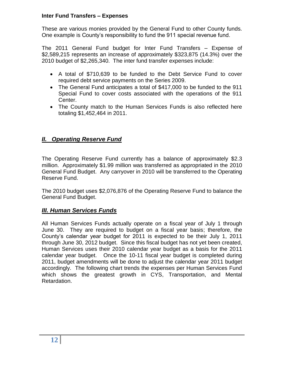#### **Inter Fund Transfers – Expenses**

These are various monies provided by the General Fund to other County funds. One example is County's responsibility to fund the 911 special revenue fund.

The 2011 General Fund budget for Inter Fund Transfers – Expense of \$2,589,215 represents an increase of approximately \$323,875 (14.3%) over the 2010 budget of \$2,265,340. The inter fund transfer expenses include:

- A total of \$710,639 to be funded to the Debt Service Fund to cover required debt service payments on the Series 2009.
- The General Fund anticipates a total of \$417,000 to be funded to the 911 Special Fund to cover costs associated with the operations of the 911 Center.
- The County match to the Human Services Funds is also reflected here totaling \$1,452,464 in 2011.

# *II. Operating Reserve Fund*

The Operating Reserve Fund currently has a balance of approximately \$2.3 million. Approximately \$1.99 million was transferred as appropriated in the 2010 General Fund Budget. Any carryover in 2010 will be transferred to the Operating Reserve Fund.

The 2010 budget uses \$2,076,876 of the Operating Reserve Fund to balance the General Fund Budget.

## *III. Human Services Funds*

All Human Services Funds actually operate on a fiscal year of July 1 through June 30. They are required to budget on a fiscal year basis; therefore, the County's calendar year budget for 2011 is expected to be their July 1, 2011 through June 30, 2012 budget. Since this fiscal budget has not yet been created, Human Services uses their 2010 calendar year budget as a basis for the 2011 calendar year budget. Once the 10-11 fiscal year budget is completed during 2011, budget amendments will be done to adjust the calendar year 2011 budget accordingly. The following chart trends the expenses per Human Services Fund which shows the greatest growth in CYS, Transportation, and Mental Retardation.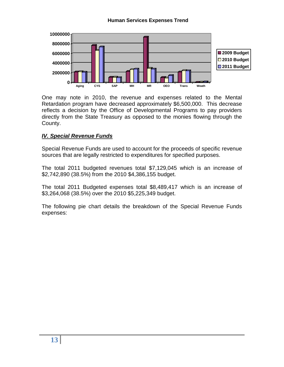#### **Human Services Expenses Trend**



One may note in 2010, the revenue and expenses related to the Mental Retardation program have decreased approximately \$6,500,000. This decrease reflects a decision by the Office of Developmental Programs to pay providers directly from the State Treasury as opposed to the monies flowing through the County.

#### *IV. Special Revenue Funds*

Special Revenue Funds are used to account for the proceeds of specific revenue sources that are legally restricted to expenditures for specified purposes.

The total 2011 budgeted revenues total \$7,129,045 which is an increase of \$2,742,890 (38.5%) from the 2010 \$4,386,155 budget.

The total 2011 Budgeted expenses total \$8,489,417 which is an increase of \$3,264,068 (38.5%) over the 2010 \$5,225,349 budget.

The following pie chart details the breakdown of the Special Revenue Funds expenses: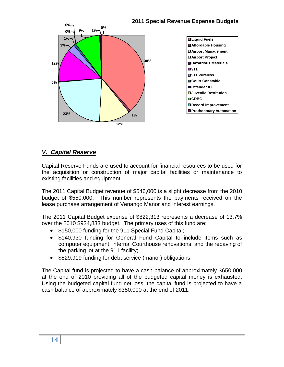#### **2011 Special Revenue Expense Budgets**



# *V. Capital Reserve*

Capital Reserve Funds are used to account for financial resources to be used for the acquisition or construction of major capital facilities or maintenance to existing facilities and equipment.

The 2011 Capital Budget revenue of \$546,000 is a slight decrease from the 2010 budget of \$550,000. This number represents the payments received on the lease purchase arrangement of Venango Manor and interest earnings.

The 2011 Capital Budget expense of \$822,313 represents a decrease of 13.7% over the 2010 \$934,833 budget. The primary uses of this fund are:

- \$150,000 funding for the 911 Special Fund Capital;
- \$140,930 funding for General Fund Capital to include items such as computer equipment, internal Courthouse renovations, and the repaving of the parking lot at the 911 facility;
- \$529,919 funding for debt service (manor) obligations.

The Capital fund is projected to have a cash balance of approximately \$650,000 at the end of 2010 providing all of the budgeted capital money is exhausted. Using the budgeted capital fund net loss, the capital fund is projected to have a cash balance of approximately \$350,000 at the end of 2011.